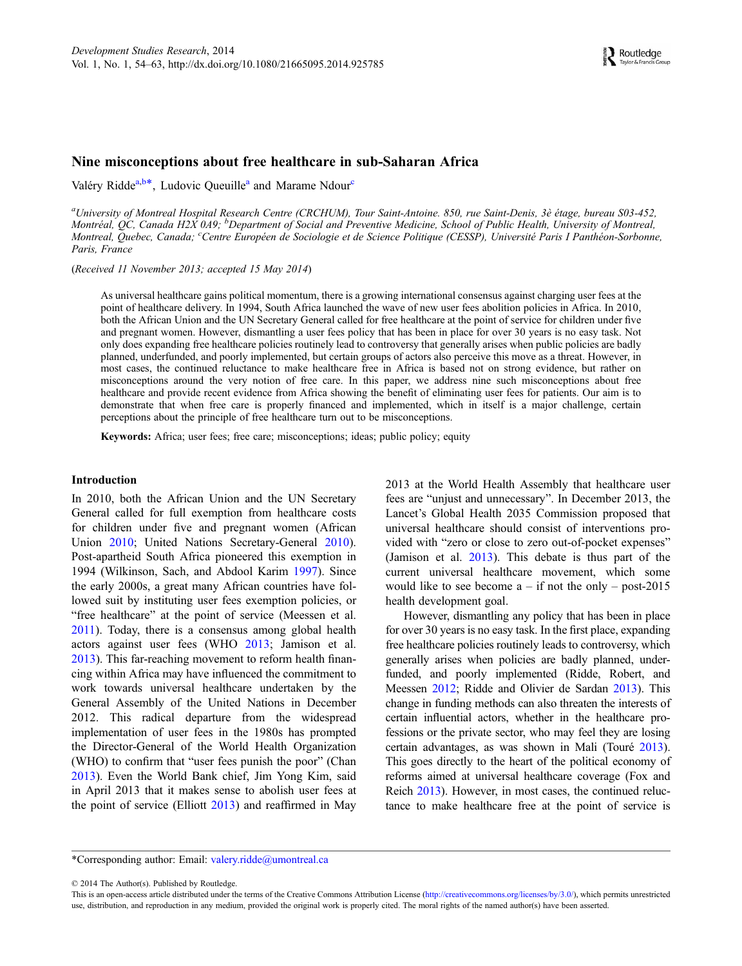#### Nine misconceptions about free healthcare in sub-Saharan Africa

Valéry Ridde<sup>a,b\*</sup>, Ludovic Queuille<sup>a</sup> and Marame Ndour<sup>c</sup>

<sup>a</sup>University of Montreal Hospital Research Centre (CRCHUM), Tour Saint-Antoine. 850, rue Saint-Denis, 3è étage, bureau S03-452, Montréal, QC, Canada H2X 0A9; <sup>b</sup>Department of Social and Preventive Medicine, School of Public Health, University of Montreal, Montreal, Quebec, Canada; <sup>c</sup>Centre Européen de Sociologie et de Science Politique (CESSP), Université Paris I Panthéon-Sorbonne, Paris, France

(Received 11 November 2013; accepted 15 May 2014)

As universal healthcare gains political momentum, there is a growing international consensus against charging user fees at the point of healthcare delivery. In 1994, South Africa launched the wave of new user fees abolition policies in Africa. In 2010, both the African Union and the UN Secretary General called for free healthcare at the point of service for children under five and pregnant women. However, dismantling a user fees policy that has been in place for over 30 years is no easy task. Not only does expanding free healthcare policies routinely lead to controversy that generally arises when public policies are badly planned, underfunded, and poorly implemented, but certain groups of actors also perceive this move as a threat. However, in most cases, the continued reluctance to make healthcare free in Africa is based not on strong evidence, but rather on misconceptions around the very notion of free care. In this paper, we address nine such misconceptions about free healthcare and provide recent evidence from Africa showing the benefit of eliminating user fees for patients. Our aim is to demonstrate that when free care is properly financed and implemented, which in itself is a major challenge, certain perceptions about the principle of free healthcare turn out to be misconceptions.

Keywords: Africa; user fees; free care; misconceptions; ideas; public policy; equity

#### Introduction

In 2010, both the African Union and the UN Secretary General called for full exemption from healthcare costs for children under five and pregnant women (African Union [2010;](#page-7-0) United Nations Secretary-General [2010\)](#page-9-0). Post-apartheid South Africa pioneered this exemption in 1994 (Wilkinson, Sach, and Abdool Karim [1997\)](#page-9-0). Since the early 2000s, a great many African countries have followed suit by instituting user fees exemption policies, or "free healthcare" at the point of service (Meessen et al. [2011](#page-8-0)). Today, there is a consensus among global health actors against user fees (WHO [2013;](#page-9-0) Jamison et al. [2013\)](#page-8-0). This far-reaching movement to reform health financing within Africa may have influenced the commitment to work towards universal healthcare undertaken by the General Assembly of the United Nations in December 2012. This radical departure from the widespread implementation of user fees in the 1980s has prompted the Director-General of the World Health Organization (WHO) to confirm that "user fees punish the poor" (Chan [2013\)](#page-7-0). Even the World Bank chief, Jim Yong Kim, said in April 2013 that it makes sense to abolish user fees at the point of service (Elliott [2013](#page-7-0)) and reaffirmed in May 2013 at the World Health Assembly that healthcare user fees are "unjust and unnecessary". In December 2013, the Lancet's Global Health 2035 Commission proposed that universal healthcare should consist of interventions provided with "zero or close to zero out-of-pocket expenses" (Jamison et al. [2013](#page-8-0)). This debate is thus part of the current universal healthcare movement, which some would like to see become  $a - if$  not the only – post-2015 health development goal.

However, dismantling any policy that has been in place for over 30 years is no easy task. In the first place, expanding free healthcare policies routinely leads to controversy, which generally arises when policies are badly planned, underfunded, and poorly implemented (Ridde, Robert, and Meessen [2012;](#page-8-0) Ridde and Olivier de Sardan [2013\)](#page-8-0). This change in funding methods can also threaten the interests of certain influential actors, whether in the healthcare professions or the private sector, who may feel they are losing certain advantages, as was shown in Mali (Touré [2013](#page-9-0)). This goes directly to the heart of the political economy of reforms aimed at universal healthcare coverage (Fox and Reich [2013](#page-7-0)). However, in most cases, the continued reluctance to make healthcare free at the point of service is

\*Corresponding author: Email: [valery.ridde@umontreal.ca](mailto:valery.ridde@umontreal.ca)

© 2014 The Author(s). Published by Routledge.

This is an open-access article distributed under the terms of the Creative Commons Attribution License [\(http://creativecommons.org/licenses/by/3.0/](http://creativecommons.org/licenses/by/3.0/)), which permits unrestricted use, distribution, and reproduction in any medium, provided the original work is properly cited. The moral rights of the named author(s) have been asserted.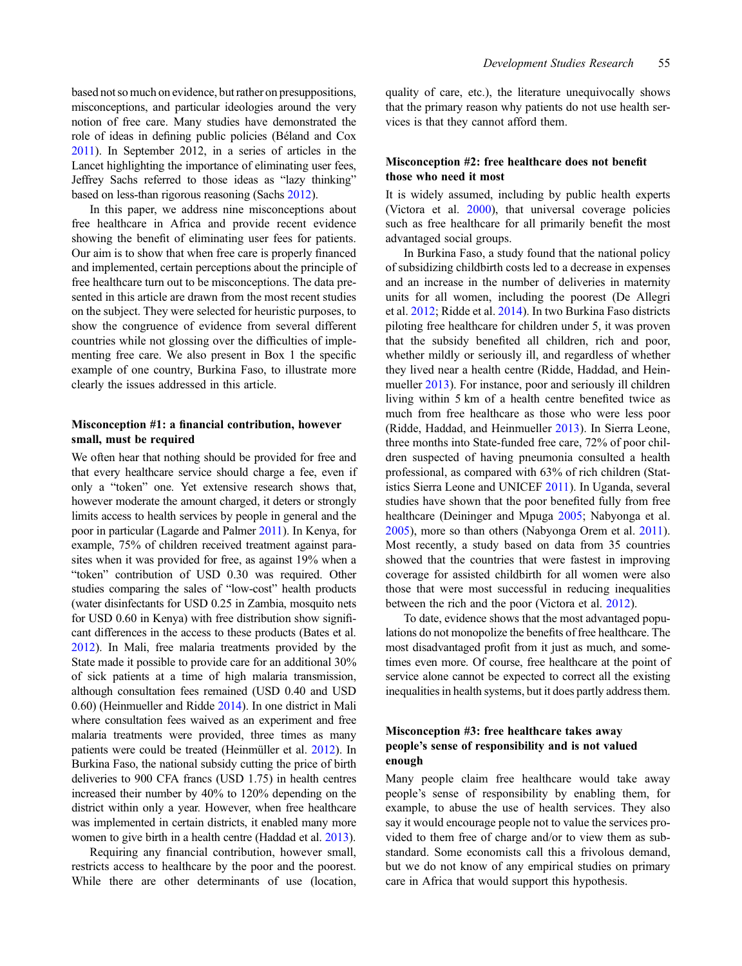based not so much on evidence, but rather on presuppositions, misconceptions, and particular ideologies around the very notion of free care. Many studies have demonstrated the role of ideas in defining public policies (Béland and Cox [2011](#page-7-0)). In September 2012, in a series of articles in the Lancet highlighting the importance of eliminating user fees, Jeffrey Sachs referred to those ideas as "lazy thinking" based on less-than rigorous reasoning (Sachs [2012\)](#page-8-0).

In this paper, we address nine misconceptions about free healthcare in Africa and provide recent evidence showing the benefit of eliminating user fees for patients. Our aim is to show that when free care is properly financed and implemented, certain perceptions about the principle of free healthcare turn out to be misconceptions. The data presented in this article are drawn from the most recent studies on the subject. They were selected for heuristic purposes, to show the congruence of evidence from several different countries while not glossing over the difficulties of implementing free care. We also present in Box 1 the specific example of one country, Burkina Faso, to illustrate more clearly the issues addressed in this article.

### Misconception #1: a financial contribution, however small, must be required

We often hear that nothing should be provided for free and that every healthcare service should charge a fee, even if only a "token" one. Yet extensive research shows that, however moderate the amount charged, it deters or strongly limits access to health services by people in general and the poor in particular (Lagarde and Palmer [2011](#page-8-0)). In Kenya, for example, 75% of children received treatment against parasites when it was provided for free, as against 19% when a "token" contribution of USD 0.30 was required. Other studies comparing the sales of "low-cost" health products (water disinfectants for USD 0.25 in Zambia, mosquito nets for USD 0.60 in Kenya) with free distribution show significant differences in the access to these products (Bates et al. [2012](#page-7-0)). In Mali, free malaria treatments provided by the State made it possible to provide care for an additional 30% of sick patients at a time of high malaria transmission, although consultation fees remained (USD 0.40 and USD 0.60) (Heinmueller and Ridde [2014\)](#page-7-0). In one district in Mali where consultation fees waived as an experiment and free malaria treatments were provided, three times as many patients were could be treated (Heinmüller et al. [2012\)](#page-7-0). In Burkina Faso, the national subsidy cutting the price of birth deliveries to 900 CFA francs (USD 1.75) in health centres increased their number by 40% to 120% depending on the district within only a year. However, when free healthcare was implemented in certain districts, it enabled many more women to give birth in a health centre (Haddad et al. [2013\)](#page-7-0).

Requiring any financial contribution, however small, restricts access to healthcare by the poor and the poorest. While there are other determinants of use (location,

quality of care, etc.), the literature unequivocally shows that the primary reason why patients do not use health services is that they cannot afford them.

## Misconception #2: free healthcare does not benefit those who need it most

It is widely assumed, including by public health experts (Victora et al. [2000\)](#page-9-0), that universal coverage policies such as free healthcare for all primarily benefit the most advantaged social groups.

In Burkina Faso, a study found that the national policy of subsidizing childbirth costs led to a decrease in expenses and an increase in the number of deliveries in maternity units for all women, including the poorest (De Allegri et al. [2012;](#page-7-0) Ridde et al. [2014](#page-8-0)). In two Burkina Faso districts piloting free healthcare for children under 5, it was proven that the subsidy benefited all children, rich and poor, whether mildly or seriously ill, and regardless of whether they lived near a health centre (Ridde, Haddad, and Heinmueller [2013](#page-8-0)). For instance, poor and seriously ill children living within 5 km of a health centre benefited twice as much from free healthcare as those who were less poor (Ridde, Haddad, and Heinmueller [2013](#page-8-0)). In Sierra Leone, three months into State-funded free care, 72% of poor children suspected of having pneumonia consulted a health professional, as compared with 63% of rich children (Statistics Sierra Leone and UNICEF [2011\)](#page-9-0). In Uganda, several studies have shown that the poor benefited fully from free healthcare (Deininger and Mpuga [2005;](#page-7-0) Nabyonga et al. [2005\)](#page-8-0), more so than others (Nabyonga Orem et al. [2011\)](#page-8-0). Most recently, a study based on data from 35 countries showed that the countries that were fastest in improving coverage for assisted childbirth for all women were also those that were most successful in reducing inequalities between the rich and the poor (Victora et al. [2012\)](#page-9-0).

To date, evidence shows that the most advantaged populations do not monopolize the benefits of free healthcare. The most disadvantaged profit from it just as much, and sometimes even more. Of course, free healthcare at the point of service alone cannot be expected to correct all the existing inequalities in health systems, but it does partly address them.

# Misconception #3: free healthcare takes away people's sense of responsibility and is not valued enough

Many people claim free healthcare would take away people's sense of responsibility by enabling them, for example, to abuse the use of health services. They also say it would encourage people not to value the services provided to them free of charge and/or to view them as substandard. Some economists call this a frivolous demand, but we do not know of any empirical studies on primary care in Africa that would support this hypothesis.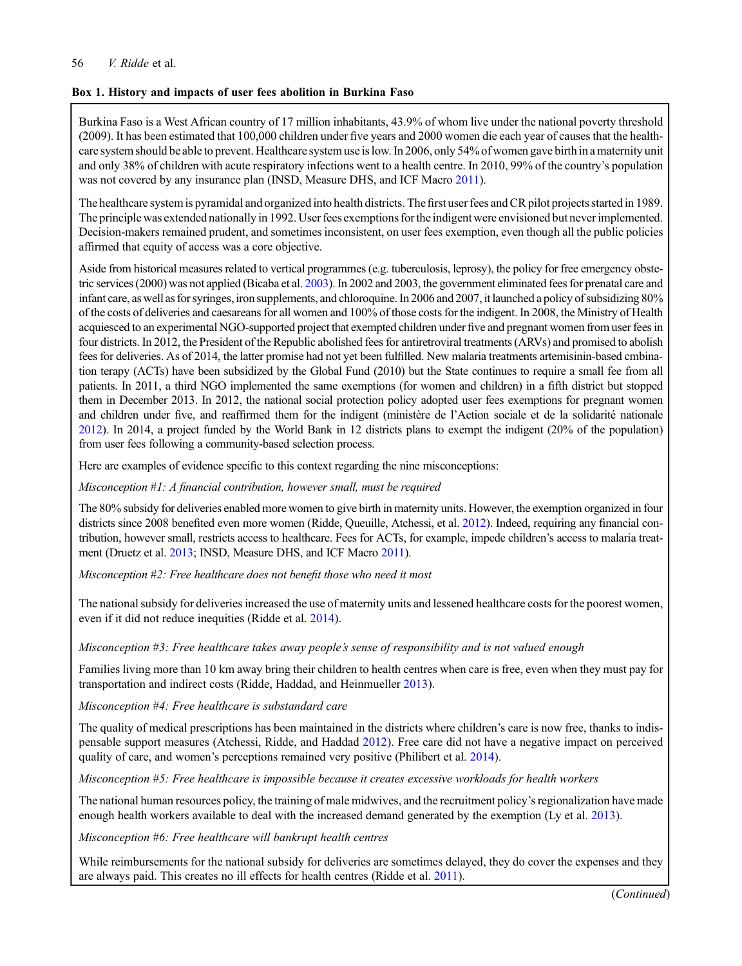# 56 V. Ridde et al.

# Box 1. History and impacts of user fees abolition in Burkina Faso

Burkina Faso is a West African country of 17 million inhabitants, 43.9% of whom live under the national poverty threshold (2009). It has been estimated that 100,000 children under five years and 2000 women die each year of causes that the healthcare system should be able to prevent. Healthcare system use is low. In 2006, only 54% of women gave birth in a maternity unit and only 38% of children with acute respiratory infections went to a health centre. In 2010, 99% of the country's population was not covered by any insurance plan (INSD, Measure DHS, and ICF Macro [2011\)](#page-7-0).

The healthcare system is pyramidal and organized into health districts. The first user fees and CR pilot projects started in 1989. The principle was extended nationally in 1992. User fees exemptions for the indigent were envisioned but never implemented. Decision-makers remained prudent, and sometimes inconsistent, on user fees exemption, even though all the public policies affirmed that equity of access was a core objective.

Aside from historical measures related to vertical programmes (e.g. tuberculosis, leprosy), the policy for free emergency obstetric services (2000) was not applied (Bicaba et al. [2003](#page-7-0)). In 2002 and 2003, the government eliminated fees for prenatal care and infant care, as well as for syringes, iron supplements, and chloroquine. In 2006 and 2007, it launched a policy of subsidizing 80% of the costs of deliveries and caesareans for all women and 100% of those costs for the indigent. In 2008, the Ministry of Health acquiesced to an experimental NGO-supported project that exempted children under five and pregnant women from user fees in four districts. In 2012, the President of the Republic abolished fees for antiretroviral treatments (ARVs) and promised to abolish fees for deliveries. As of 2014, the latter promise had not yet been fulfilled. New malaria treatments artemisinin-based cmbination terapy (ACTs) have been subsidized by the Global Fund (2010) but the State continues to require a small fee from all patients. In 2011, a third NGO implemented the same exemptions (for women and children) in a fifth district but stopped them in December 2013. In 2012, the national social protection policy adopted user fees exemptions for pregnant women and children under five, and reaffirmed them for the indigent (ministère de l'Action sociale et de la solidarité nationale [2012](#page-8-0)). In 2014, a project funded by the World Bank in 12 districts plans to exempt the indigent (20% of the population) from user fees following a community-based selection process.

Here are examples of evidence specific to this context regarding the nine misconceptions:

Misconception #1: A financial contribution, however small, must be required

The 80% subsidy for deliveries enabled more women to give birth in maternity units. However, the exemption organized in four districts since 2008 benefited even more women (Ridde, Queuille, Atchessi, et al. [2012](#page-8-0)). Indeed, requiring any financial contribution, however small, restricts access to healthcare. Fees for ACTs, for example, impede children's access to malaria treat-ment (Druetz et al. [2013;](#page-7-0) INSD, Measure DHS, and ICF Macro [2011](#page-7-0)).

Misconception #2: Free healthcare does not benefit those who need it most

The national subsidy for deliveries increased the use of maternity units and lessened healthcare costs for the poorest women, even if it did not reduce inequities (Ridde et al. [2014\)](#page-8-0).

Misconception #3: Free healthcare takes away people's sense of responsibility and is not valued enough

Families living more than 10 km away bring their children to health centres when care is free, even when they must pay for transportation and indirect costs (Ridde, Haddad, and Heinmueller [2013\)](#page-8-0).

Misconception #4: Free healthcare is substandard care

The quality of medical prescriptions has been maintained in the districts where children's care is now free, thanks to indispensable support measures (Atchessi, Ridde, and Haddad [2012](#page-7-0)). Free care did not have a negative impact on perceived quality of care, and women's perceptions remained very positive (Philibert et al. [2014](#page-8-0)).

Misconception #5: Free healthcare is impossible because it creates excessive workloads for health workers

The national human resources policy, the training of male midwives, and the recruitment policy's regionalization have made enough health workers available to deal with the increased demand generated by the exemption (Ly et al. [2013\)](#page-8-0).

Misconception #6: Free healthcare will bankrupt health centres

While reimbursements for the national subsidy for deliveries are sometimes delayed, they do cover the expenses and they are always paid. This creates no ill effects for health centres (Ridde et al. [2011](#page-8-0)).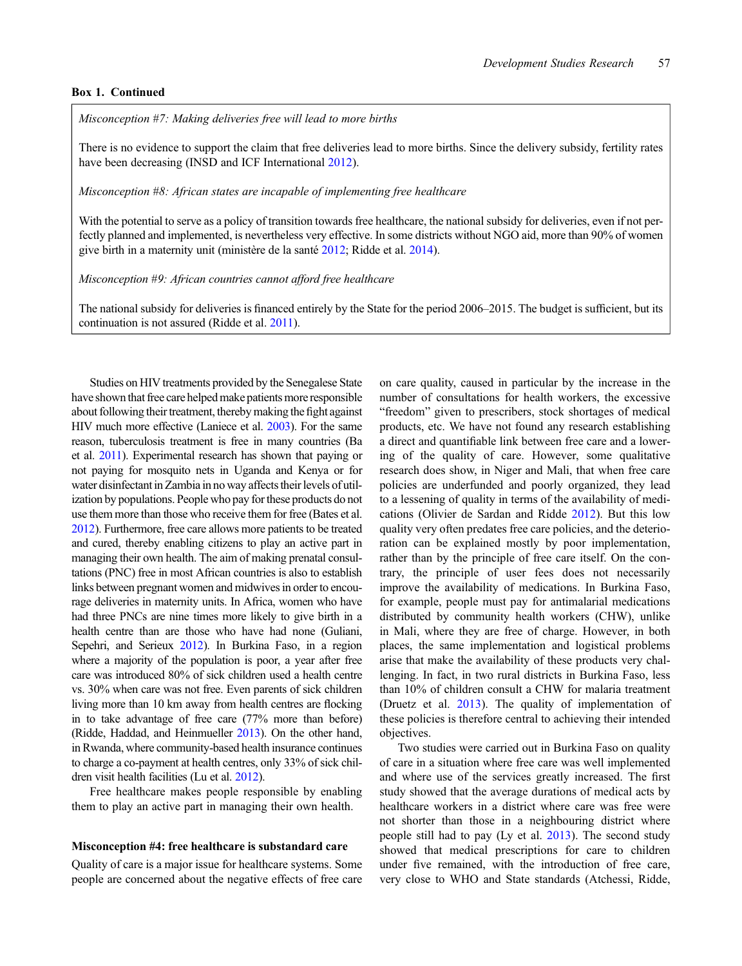#### Box 1. Continued

Misconception #7: Making deliveries free will lead to more births

There is no evidence to support the claim that free deliveries lead to more births. Since the delivery subsidy, fertility rates have been decreasing (INSD and ICF International [2012](#page-7-0)).

Misconception #8: African states are incapable of implementing free healthcare

With the potential to serve as a policy of transition towards free healthcare, the national subsidy for deliveries, even if not perfectly planned and implemented, is nevertheless very effective. In some districts without NGO aid, more than 90% of women give birth in a maternity unit (ministère de la santé [2012;](#page-8-0) Ridde et al. [2014\)](#page-8-0).

Misconception #9: African countries cannot afford free healthcare

The national subsidy for deliveries is financed entirely by the State for the period 2006–2015. The budget is sufficient, but its continuation is not assured (Ridde et al. [2011](#page-8-0)).

Studies on HIV treatments provided by the Senegalese State have shown that free care helped make patients more responsible about following their treatment, thereby making the fight against HIV much more effective (Laniece et al. [2003\)](#page-8-0). For the same reason, tuberculosis treatment is free in many countries (Ba et al. [2011](#page-7-0)). Experimental research has shown that paying or not paying for mosquito nets in Uganda and Kenya or for water disinfectant in Zambia in no way affects their levels of utilization by populations. People who pay for these products do not use them more than those who receive them for free (Bates et al. [2012\)](#page-7-0). Furthermore, free care allows more patients to be treated and cured, thereby enabling citizens to play an active part in managing their own health. The aim of making prenatal consultations (PNC) free in most African countries is also to establish links between pregnant women and midwives in order to encourage deliveries in maternity units. In Africa, women who have had three PNCs are nine times more likely to give birth in a health centre than are those who have had none (Guliani, Sepehri, and Serieux [2012](#page-7-0)). In Burkina Faso, in a region where a majority of the population is poor, a year after free care was introduced 80% of sick children used a health centre vs. 30% when care was not free. Even parents of sick children living more than 10 km away from health centres are flocking in to take advantage of free care (77% more than before) (Ridde, Haddad, and Heinmueller [2013\)](#page-8-0). On the other hand, in Rwanda, where community-based health insurance continues to charge a co-payment at health centres, only 33% of sick children visit health facilities (Lu et al. [2012](#page-8-0)).

Free healthcare makes people responsible by enabling them to play an active part in managing their own health.

#### Misconception #4: free healthcare is substandard care

Quality of care is a major issue for healthcare systems. Some people are concerned about the negative effects of free care

on care quality, caused in particular by the increase in the number of consultations for health workers, the excessive "freedom" given to prescribers, stock shortages of medical products, etc. We have not found any research establishing a direct and quantifiable link between free care and a lowering of the quality of care. However, some qualitative research does show, in Niger and Mali, that when free care policies are underfunded and poorly organized, they lead to a lessening of quality in terms of the availability of medications (Olivier de Sardan and Ridde [2012\)](#page-8-0). But this low quality very often predates free care policies, and the deterioration can be explained mostly by poor implementation, rather than by the principle of free care itself. On the contrary, the principle of user fees does not necessarily improve the availability of medications. In Burkina Faso, for example, people must pay for antimalarial medications distributed by community health workers (CHW), unlike in Mali, where they are free of charge. However, in both places, the same implementation and logistical problems arise that make the availability of these products very challenging. In fact, in two rural districts in Burkina Faso, less than 10% of children consult a CHW for malaria treatment (Druetz et al. [2013](#page-7-0)). The quality of implementation of these policies is therefore central to achieving their intended objectives.

Two studies were carried out in Burkina Faso on quality of care in a situation where free care was well implemented and where use of the services greatly increased. The first study showed that the average durations of medical acts by healthcare workers in a district where care was free were not shorter than those in a neighbouring district where people still had to pay (Ly et al. [2013](#page-8-0)). The second study showed that medical prescriptions for care to children under five remained, with the introduction of free care, very close to WHO and State standards (Atchessi, Ridde,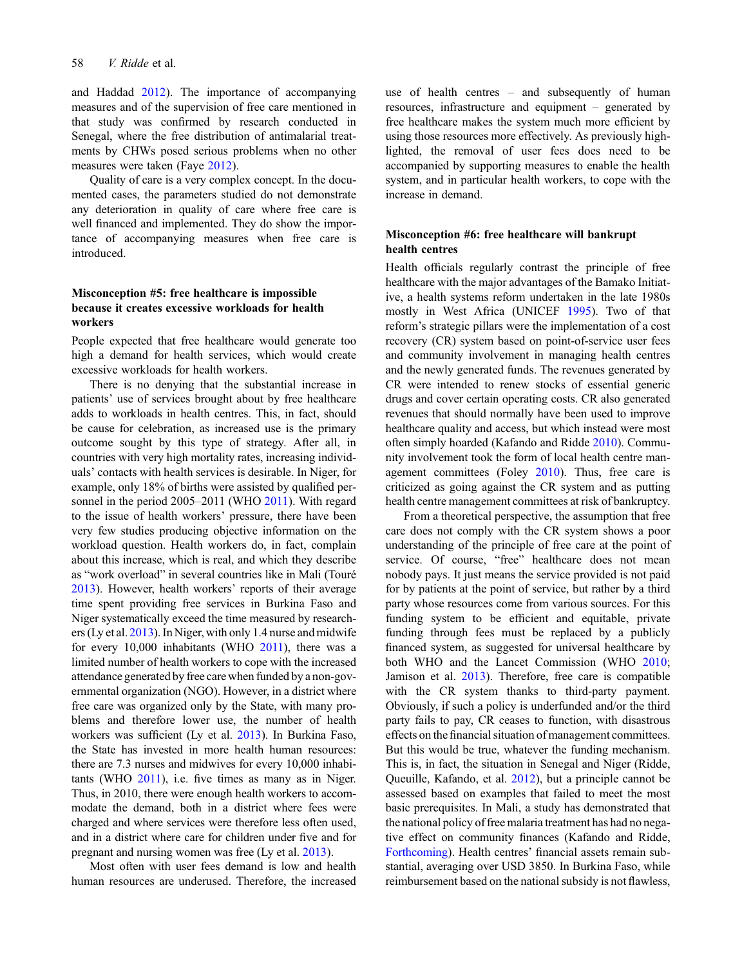and Haddad [2012](#page-7-0)). The importance of accompanying measures and of the supervision of free care mentioned in that study was confirmed by research conducted in Senegal, where the free distribution of antimalarial treatments by CHWs posed serious problems when no other measures were taken (Faye [2012\)](#page-7-0).

Quality of care is a very complex concept. In the documented cases, the parameters studied do not demonstrate any deterioration in quality of care where free care is well financed and implemented. They do show the importance of accompanying measures when free care is introduced.

# Misconception #5: free healthcare is impossible because it creates excessive workloads for health workers

People expected that free healthcare would generate too high a demand for health services, which would create excessive workloads for health workers.

There is no denying that the substantial increase in patients' use of services brought about by free healthcare adds to workloads in health centres. This, in fact, should be cause for celebration, as increased use is the primary outcome sought by this type of strategy. After all, in countries with very high mortality rates, increasing individuals' contacts with health services is desirable. In Niger, for example, only 18% of births were assisted by qualified personnel in the period 2005–2011 (WHO [2011](#page-9-0)). With regard to the issue of health workers' pressure, there have been very few studies producing objective information on the workload question. Health workers do, in fact, complain about this increase, which is real, and which they describe as "work overload" in several countries like in Mali (Touré [2013\)](#page-9-0). However, health workers' reports of their average time spent providing free services in Burkina Faso and Niger systematically exceed the time measured by researchers (Ly et al. [2013](#page-8-0)). In Niger, with only 1.4 nurse and midwife for every 10,000 inhabitants (WHO [2011](#page-9-0)), there was a limited number of health workers to cope with the increased attendance generated by free care when funded by a non-governmental organization (NGO). However, in a district where free care was organized only by the State, with many problems and therefore lower use, the number of health workers was sufficient (Ly et al. [2013\)](#page-8-0). In Burkina Faso, the State has invested in more health human resources: there are 7.3 nurses and midwives for every 10,000 inhabitants (WHO  $2011$ ), i.e. five times as many as in Niger. Thus, in 2010, there were enough health workers to accommodate the demand, both in a district where fees were charged and where services were therefore less often used, and in a district where care for children under five and for pregnant and nursing women was free (Ly et al. [2013](#page-8-0)).

Most often with user fees demand is low and health human resources are underused. Therefore, the increased

use of health centres – and subsequently of human resources, infrastructure and equipment – generated by free healthcare makes the system much more efficient by using those resources more effectively. As previously highlighted, the removal of user fees does need to be accompanied by supporting measures to enable the health system, and in particular health workers, to cope with the increase in demand.

# Misconception #6: free healthcare will bankrupt health centres

Health officials regularly contrast the principle of free healthcare with the major advantages of the Bamako Initiative, a health systems reform undertaken in the late 1980s mostly in West Africa (UNICEF [1995\)](#page-9-0). Two of that reform's strategic pillars were the implementation of a cost recovery (CR) system based on point-of-service user fees and community involvement in managing health centres and the newly generated funds. The revenues generated by CR were intended to renew stocks of essential generic drugs and cover certain operating costs. CR also generated revenues that should normally have been used to improve healthcare quality and access, but which instead were most often simply hoarded (Kafando and Ridde [2010](#page-8-0)). Community involvement took the form of local health centre man-agement committees (Foley [2010](#page-7-0)). Thus, free care is criticized as going against the CR system and as putting health centre management committees at risk of bankruptcy.

From a theoretical perspective, the assumption that free care does not comply with the CR system shows a poor understanding of the principle of free care at the point of service. Of course, "free" healthcare does not mean nobody pays. It just means the service provided is not paid for by patients at the point of service, but rather by a third party whose resources come from various sources. For this funding system to be efficient and equitable, private funding through fees must be replaced by a publicly financed system, as suggested for universal healthcare by both WHO and the Lancet Commission (WHO [2010;](#page-9-0) Jamison et al. [2013](#page-8-0)). Therefore, free care is compatible with the CR system thanks to third-party payment. Obviously, if such a policy is underfunded and/or the third party fails to pay, CR ceases to function, with disastrous effects on the financial situation of management committees. But this would be true, whatever the funding mechanism. This is, in fact, the situation in Senegal and Niger (Ridde, Queuille, Kafando, et al. [2012](#page-8-0)), but a principle cannot be assessed based on examples that failed to meet the most basic prerequisites. In Mali, a study has demonstrated that the national policy of free malaria treatment has had no negative effect on community finances (Kafando and Ridde, [Forthcoming\)](#page-8-0). Health centres' financial assets remain substantial, averaging over USD 3850. In Burkina Faso, while reimbursement based on the national subsidy is not flawless,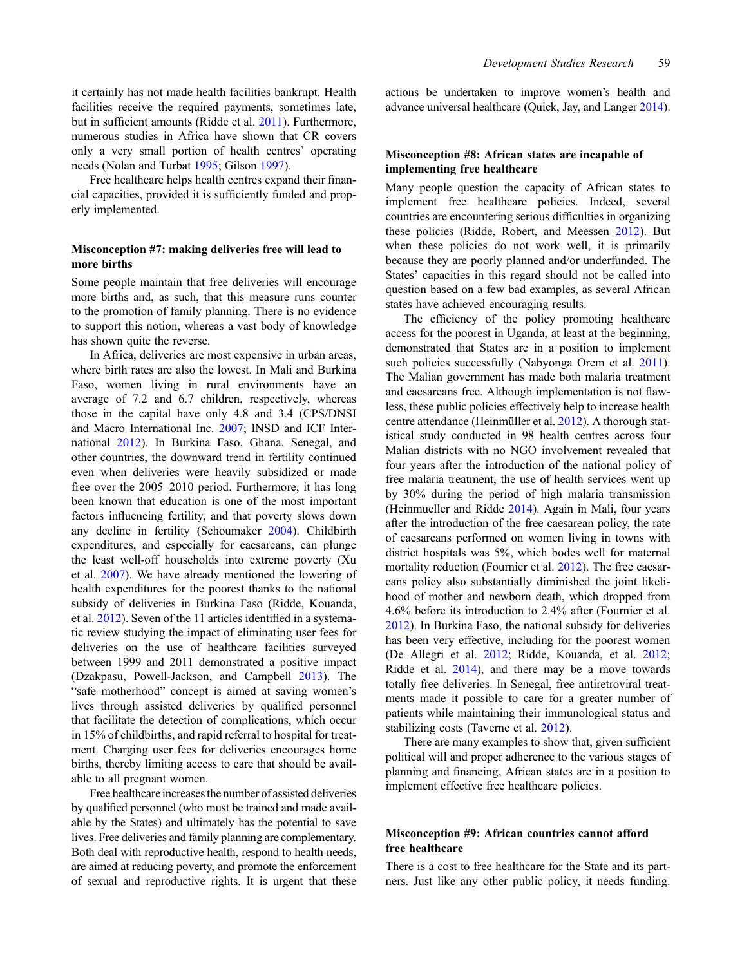it certainly has not made health facilities bankrupt. Health facilities receive the required payments, sometimes late, but in sufficient amounts (Ridde et al. [2011](#page-8-0)). Furthermore, numerous studies in Africa have shown that CR covers only a very small portion of health centres' operating needs (Nolan and Turbat [1995](#page-8-0); Gilson [1997\)](#page-7-0).

Free healthcare helps health centres expand their financial capacities, provided it is sufficiently funded and properly implemented.

### Misconception #7: making deliveries free will lead to more births

Some people maintain that free deliveries will encourage more births and, as such, that this measure runs counter to the promotion of family planning. There is no evidence to support this notion, whereas a vast body of knowledge has shown quite the reverse.

In Africa, deliveries are most expensive in urban areas, where birth rates are also the lowest. In Mali and Burkina Faso, women living in rural environments have an average of 7.2 and 6.7 children, respectively, whereas those in the capital have only 4.8 and 3.4 (CPS/DNSI and Macro International Inc. [2007;](#page-7-0) INSD and ICF International [2012](#page-7-0)). In Burkina Faso, Ghana, Senegal, and other countries, the downward trend in fertility continued even when deliveries were heavily subsidized or made free over the 2005–2010 period. Furthermore, it has long been known that education is one of the most important factors influencing fertility, and that poverty slows down any decline in fertility (Schoumaker [2004](#page-8-0)). Childbirth expenditures, and especially for caesareans, can plunge the least well-off households into extreme poverty (Xu et al. [2007\)](#page-9-0). We have already mentioned the lowering of health expenditures for the poorest thanks to the national subsidy of deliveries in Burkina Faso (Ridde, Kouanda, et al. [2012\)](#page-8-0). Seven of the 11 articles identified in a systematic review studying the impact of eliminating user fees for deliveries on the use of healthcare facilities surveyed between 1999 and 2011 demonstrated a positive impact (Dzakpasu, Powell-Jackson, and Campbell [2013](#page-7-0)). The "safe motherhood" concept is aimed at saving women's lives through assisted deliveries by qualified personnel that facilitate the detection of complications, which occur in 15% of childbirths, and rapid referral to hospital for treatment. Charging user fees for deliveries encourages home births, thereby limiting access to care that should be available to all pregnant women.

Free healthcare increases the number of assisted deliveries by qualified personnel (who must be trained and made available by the States) and ultimately has the potential to save lives. Free deliveries and family planning are complementary. Both deal with reproductive health, respond to health needs, are aimed at reducing poverty, and promote the enforcement of sexual and reproductive rights. It is urgent that these actions be undertaken to improve women's health and advance universal healthcare (Quick, Jay, and Langer [2014](#page-8-0)).

#### Misconception #8: African states are incapable of implementing free healthcare

Many people question the capacity of African states to implement free healthcare policies. Indeed, several countries are encountering serious difficulties in organizing these policies (Ridde, Robert, and Meessen [2012\)](#page-8-0). But when these policies do not work well, it is primarily because they are poorly planned and/or underfunded. The States' capacities in this regard should not be called into question based on a few bad examples, as several African states have achieved encouraging results.

The efficiency of the policy promoting healthcare access for the poorest in Uganda, at least at the beginning, demonstrated that States are in a position to implement such policies successfully (Nabyonga Orem et al. [2011\)](#page-8-0). The Malian government has made both malaria treatment and caesareans free. Although implementation is not flawless, these public policies effectively help to increase health centre attendance (Heinmüller et al. [2012\)](#page-7-0). A thorough statistical study conducted in 98 health centres across four Malian districts with no NGO involvement revealed that four years after the introduction of the national policy of free malaria treatment, the use of health services went up by 30% during the period of high malaria transmission (Heinmueller and Ridde [2014\)](#page-7-0). Again in Mali, four years after the introduction of the free caesarean policy, the rate of caesareans performed on women living in towns with district hospitals was 5%, which bodes well for maternal mortality reduction (Fournier et al. [2012](#page-7-0)). The free caesareans policy also substantially diminished the joint likelihood of mother and newborn death, which dropped from 4.6% before its introduction to 2.4% after (Fournier et al. [2012\)](#page-7-0). In Burkina Faso, the national subsidy for deliveries has been very effective, including for the poorest women (De Allegri et al. [2012](#page-7-0); Ridde, Kouanda, et al. [2012;](#page-8-0) Ridde et al. [2014\)](#page-8-0), and there may be a move towards totally free deliveries. In Senegal, free antiretroviral treatments made it possible to care for a greater number of patients while maintaining their immunological status and stabilizing costs (Taverne et al. [2012](#page-9-0)).

There are many examples to show that, given sufficient political will and proper adherence to the various stages of planning and financing, African states are in a position to implement effective free healthcare policies.

# Misconception #9: African countries cannot afford free healthcare

There is a cost to free healthcare for the State and its partners. Just like any other public policy, it needs funding.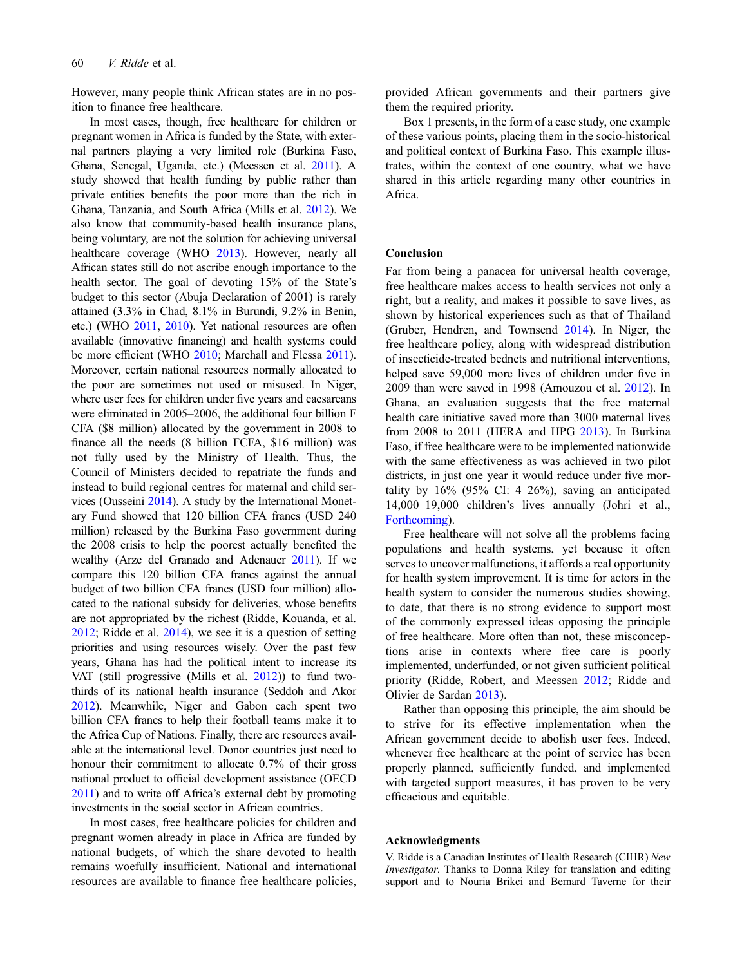However, many people think African states are in no position to finance free healthcare.

In most cases, though, free healthcare for children or pregnant women in Africa is funded by the State, with external partners playing a very limited role (Burkina Faso, Ghana, Senegal, Uganda, etc.) (Meessen et al. [2011](#page-8-0)). A study showed that health funding by public rather than private entities benefits the poor more than the rich in Ghana, Tanzania, and South Africa (Mills et al. [2012\)](#page-8-0). We also know that community-based health insurance plans, being voluntary, are not the solution for achieving universal healthcare coverage (WHO [2013\)](#page-9-0). However, nearly all African states still do not ascribe enough importance to the health sector. The goal of devoting 15% of the State's budget to this sector (Abuja Declaration of 2001) is rarely attained (3.3% in Chad, 8.1% in Burundi, 9.2% in Benin, etc.) (WHO [2011](#page-9-0), [2010](#page-9-0)). Yet national resources are often available (innovative financing) and health systems could be more efficient (WHO [2010;](#page-9-0) Marchall and Flessa [2011](#page-8-0)). Moreover, certain national resources normally allocated to the poor are sometimes not used or misused. In Niger, where user fees for children under five years and caesareans were eliminated in 2005–2006, the additional four billion F CFA (\$8 million) allocated by the government in 2008 to finance all the needs (8 billion FCFA, \$16 million) was not fully used by the Ministry of Health. Thus, the Council of Ministers decided to repatriate the funds and instead to build regional centres for maternal and child services (Ousseini [2014](#page-8-0)). A study by the International Monetary Fund showed that 120 billion CFA francs (USD 240 million) released by the Burkina Faso government during the 2008 crisis to help the poorest actually benefited the wealthy (Arze del Granado and Adenauer [2011](#page-7-0)). If we compare this 120 billion CFA francs against the annual budget of two billion CFA francs (USD four million) allocated to the national subsidy for deliveries, whose benefits are not appropriated by the richest (Ridde, Kouanda, et al. [2012](#page-8-0); Ridde et al. [2014\)](#page-8-0), we see it is a question of setting priorities and using resources wisely. Over the past few years, Ghana has had the political intent to increase its VAT (still progressive (Mills et al. [2012](#page-8-0))) to fund twothirds of its national health insurance (Seddoh and Akor [2012](#page-8-0)). Meanwhile, Niger and Gabon each spent two billion CFA francs to help their football teams make it to the Africa Cup of Nations. Finally, there are resources available at the international level. Donor countries just need to honour their commitment to allocate 0.7% of their gross national product to official development assistance (OECD [2011](#page-8-0)) and to write off Africa's external debt by promoting investments in the social sector in African countries.

In most cases, free healthcare policies for children and pregnant women already in place in Africa are funded by national budgets, of which the share devoted to health remains woefully insufficient. National and international resources are available to finance free healthcare policies,

provided African governments and their partners give them the required priority.

Box 1 presents, in the form of a case study, one example of these various points, placing them in the socio-historical and political context of Burkina Faso. This example illustrates, within the context of one country, what we have shared in this article regarding many other countries in Africa.

#### Conclusion

Far from being a panacea for universal health coverage, free healthcare makes access to health services not only a right, but a reality, and makes it possible to save lives, as shown by historical experiences such as that of Thailand (Gruber, Hendren, and Townsend [2014\)](#page-7-0). In Niger, the free healthcare policy, along with widespread distribution of insecticide-treated bednets and nutritional interventions, helped save 59,000 more lives of children under five in 2009 than were saved in 1998 (Amouzou et al. [2012](#page-7-0)). In Ghana, an evaluation suggests that the free maternal health care initiative saved more than 3000 maternal lives from 2008 to 2011 (HERA and HPG [2013\)](#page-7-0). In Burkina Faso, if free healthcare were to be implemented nationwide with the same effectiveness as was achieved in two pilot districts, in just one year it would reduce under five mortality by  $16\%$  (95% CI:  $4-26\%$ ), saving an anticipated 14,000–19,000 children's lives annually (Johri et al., [Forthcoming\)](#page-8-0).

Free healthcare will not solve all the problems facing populations and health systems, yet because it often serves to uncover malfunctions, it affords a real opportunity for health system improvement. It is time for actors in the health system to consider the numerous studies showing, to date, that there is no strong evidence to support most of the commonly expressed ideas opposing the principle of free healthcare. More often than not, these misconceptions arise in contexts where free care is poorly implemented, underfunded, or not given sufficient political priority (Ridde, Robert, and Meessen [2012;](#page-8-0) Ridde and Olivier de Sardan [2013\)](#page-8-0).

Rather than opposing this principle, the aim should be to strive for its effective implementation when the African government decide to abolish user fees. Indeed, whenever free healthcare at the point of service has been properly planned, sufficiently funded, and implemented with targeted support measures, it has proven to be very efficacious and equitable.

#### Acknowledgments

V. Ridde is a Canadian Institutes of Health Research (CIHR) New Investigator. Thanks to Donna Riley for translation and editing support and to Nouria Brikci and Bernard Taverne for their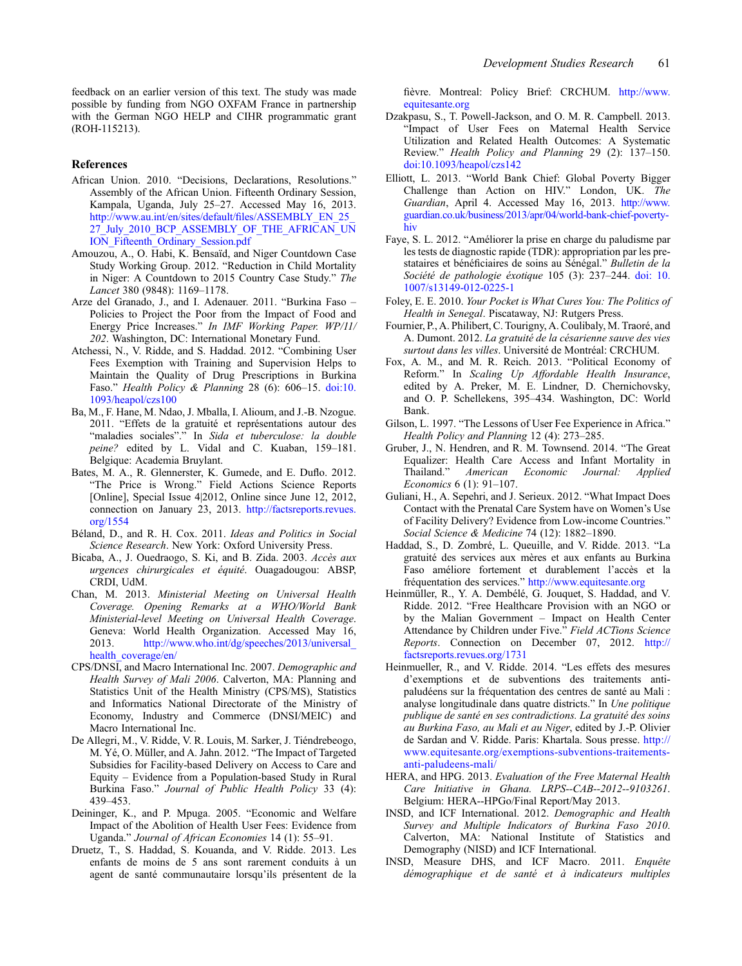<span id="page-7-0"></span>feedback on an earlier version of this text. The study was made possible by funding from NGO OXFAM France in partnership with the German NGO HELP and CIHR programmatic grant (ROH-115213).

#### References

- African Union. 2010. "Decisions, Declarations, Resolutions." Assembly of the African Union. Fifteenth Ordinary Session, Kampala, Uganda, July 25–27. Accessed May 16, 2013. [http://www.au.int/en/sites/default/](http://www.au.int/en/sites/default/files/ASSEMBLY_EN_25_27_July_2010_BCP_ASSEMBLY_OF_THE_AFRICAN_UNION_Fifteenth_Ordinary_Session.pdf)files/ASSEMBLY\_EN\_25\_ [27\\_July\\_2010\\_BCP\\_ASSEMBLY\\_OF\\_THE\\_AFRICAN\\_UN](http://www.au.int/en/sites/default/files/ASSEMBLY_EN_25_27_July_2010_BCP_ASSEMBLY_OF_THE_AFRICAN_UNION_Fifteenth_Ordinary_Session.pdf) [ION\\_Fifteenth\\_Ordinary\\_Session.pdf](http://www.au.int/en/sites/default/files/ASSEMBLY_EN_25_27_July_2010_BCP_ASSEMBLY_OF_THE_AFRICAN_UNION_Fifteenth_Ordinary_Session.pdf)
- Amouzou, A., O. Habi, K. Bensaïd, and Niger Countdown Case Study Working Group. 2012. "Reduction in Child Mortality in Niger: A Countdown to 2015 Country Case Study." The Lancet 380 (9848): 1169–1178.
- Arze del Granado, J., and I. Adenauer. 2011. "Burkina Faso Policies to Project the Poor from the Impact of Food and Energy Price Increases." In IMF Working Paper. WP/11/ 202. Washington, DC: International Monetary Fund.
- Atchessi, N., V. Ridde, and S. Haddad. 2012. "Combining User Fees Exemption with Training and Supervision Helps to Maintain the Quality of Drug Prescriptions in Burkina Faso." Health Policy & Planning 28 (6): 606–15. [doi:10.](http://dx.doi.org/10.1093/heapol/czs100) [1093/heapol/czs100](http://dx.doi.org/10.1093/heapol/czs100)
- Ba, M., F. Hane, M. Ndao, J. Mballa, I. Alioum, and J.-B. Nzogue. 2011. "Effets de la gratuité et représentations autour des "maladies sociales"." In Sida et tuberculose: la double peine? edited by L. Vidal and C. Kuaban, 159–181. Belgique: Academia Bruylant.
- Bates, M. A., R. Glennerster, K. Gumede, and E. Duflo. 2012. "The Price is Wrong." Field Actions Science Reports [Online], Special Issue 4|2012, Online since June 12, 2012, connection on January 23, 2013. [http://factsreports.revues.](http://factsreports.revues.org/1554) [org/1554](http://factsreports.revues.org/1554)
- Béland, D., and R. H. Cox. 2011. Ideas and Politics in Social Science Research. New York: Oxford University Press.
- Bicaba, A., J. Ouedraogo, S. Ki, and B. Zida. 2003. Accès aux urgences chirurgicales et équité. Ouagadougou: ABSP, CRDI, UdM.
- Chan, M. 2013. Ministerial Meeting on Universal Health Coverage. Opening Remarks at a WHO/World Bank Ministerial-level Meeting on Universal Health Coverage. Geneva: World Health Organization. Accessed May 16, 2013. [http://www.who.int/dg/speeches/2013/universal\\_](http://www.who.int/dg/speeches/2013/universal_health_coverage/en/) [health\\_coverage/en/](http://www.who.int/dg/speeches/2013/universal_health_coverage/en/)
- CPS/DNSI, and Macro International Inc. 2007. Demographic and Health Survey of Mali 2006. Calverton, MA: Planning and Statistics Unit of the Health Ministry (CPS/MS), Statistics and Informatics National Directorate of the Ministry of Economy, Industry and Commerce (DNSI/MEIC) and Macro International Inc.
- De Allegri, M., V. Ridde, V. R. Louis, M. Sarker, J. Tiéndrebeogo, M. Yé, O. Müller, and A. Jahn. 2012. "The Impact of Targeted Subsidies for Facility-based Delivery on Access to Care and Equity – Evidence from a Population-based Study in Rural Burkina Faso." Journal of Public Health Policy 33 (4): 439–453.
- Deininger, K., and P. Mpuga. 2005. "Economic and Welfare Impact of the Abolition of Health User Fees: Evidence from Uganda." Journal of African Economies 14 (1): 55–91.
- Druetz, T., S. Haddad, S. Kouanda, and V. Ridde. 2013. Les enfants de moins de 5 ans sont rarement conduits à un agent de santé communautaire lorsqu'ils présentent de la

fièvre. Montreal: Policy Brief: CRCHUM. [http://www.](http://www.equitesante.org) [equitesante.org](http://www.equitesante.org)

- Dzakpasu, S., T. Powell-Jackson, and O. M. R. Campbell. 2013. "Impact of User Fees on Maternal Health Service Utilization and Related Health Outcomes: A Systematic Review." Health Policy and Planning 29 (2): 137–150. [doi:10.1093/heapol/czs142](http://dx.doi.org/10.1093/heapol/czs142)
- Elliott, L. 2013. "World Bank Chief: Global Poverty Bigger Challenge than Action on HIV." London, UK. The Guardian, April 4. Accessed May 16, 2013. [http://www.](http://www.guardian.co.uk/business/2013/apr/04/world-bank-chief-poverty-hiv) [guardian.co.uk/business/2013/apr/04/world-bank-chief-poverty](http://www.guardian.co.uk/business/2013/apr/04/world-bank-chief-poverty-hiv)[hiv](http://www.guardian.co.uk/business/2013/apr/04/world-bank-chief-poverty-hiv)
- Faye, S. L. 2012. "Améliorer la prise en charge du paludisme par les tests de diagnostic rapide (TDR): appropriation par les prestataires et bénéficiaires de soins au Sénégal." Bulletin de la Société de pathologie éxotique 105 (3): 237–244. [doi: 10.](http://dx.doi.org/10.1007/s13149-012-0225-1) [1007/s13149-012-0225-1](http://dx.doi.org/10.1007/s13149-012-0225-1)
- Foley, E. E. 2010. Your Pocket is What Cures You: The Politics of Health in Senegal. Piscataway, NJ: Rutgers Press.
- Fournier, P., A. Philibert, C. Tourigny, A. Coulibaly, M. Traoré, and A. Dumont. 2012. La gratuité de la césarienne sauve des vies surtout dans les villes. Université de Montréal: CRCHUM.
- Fox, A. M., and M. R. Reich. 2013. "Political Economy of Reform." In Scaling Up Affordable Health Insurance, edited by A. Preker, M. E. Lindner, D. Chernichovsky, and O. P. Schellekens, 395–434. Washington, DC: World Bank.
- Gilson, L. 1997. "The Lessons of User Fee Experience in Africa." Health Policy and Planning 12 (4): 273–285.
- Gruber, J., N. Hendren, and R. M. Townsend. 2014. "The Great Equalizer: Health Care Access and Infant Mortality in Thailand." American Economic Journal: Applied Economics 6 (1): 91–107.
- Guliani, H., A. Sepehri, and J. Serieux. 2012. "What Impact Does Contact with the Prenatal Care System have on Women's Use of Facility Delivery? Evidence from Low-income Countries." Social Science & Medicine 74 (12): 1882–1890.
- Haddad, S., D. Zombré, L. Queuille, and V. Ridde. 2013. "La gratuité des services aux mères et aux enfants au Burkina Faso améliore fortement et durablement l'accès et la fréquentation des services." <http://www.equitesante.org>
- Heinmüller, R., Y. A. Dembélé, G. Jouquet, S. Haddad, and V. Ridde. 2012. "Free Healthcare Provision with an NGO or by the Malian Government – Impact on Health Center Attendance by Children under Five." Field ACTions Science Reports. Connection on December 07, 2012. [http://](http://factsreports.revues.org/1731) [factsreports.revues.org/1731](http://factsreports.revues.org/1731)
- Heinmueller, R., and V. Ridde. 2014. "Les effets des mesures d'exemptions et de subventions des traitements antipaludéens sur la fréquentation des centres de santé au Mali : analyse longitudinale dans quatre districts." In Une politique publique de santé en ses contradictions. La gratuité des soins au Burkina Faso, au Mali et au Niger, edited by J.-P. Olivier de Sardan and V. Ridde. Paris: Khartala. Sous presse. [http://](http://www.equitesante.org/exemptions-subventions-traitements-anti-paludeens-mali/) [www.equitesante.org/exemptions-subventions-traitements](http://www.equitesante.org/exemptions-subventions-traitements-anti-paludeens-mali/)[anti-paludeens-mali/](http://www.equitesante.org/exemptions-subventions-traitements-anti-paludeens-mali/)
- HERA, and HPG. 2013. Evaluation of the Free Maternal Health Care Initiative in Ghana. LRPS--CAB--2012--9103261. Belgium: HERA--HPGo/Final Report/May 2013.
- INSD, and ICF International. 2012. Demographic and Health Survey and Multiple Indicators of Burkina Faso 2010. Calverton, MA: National Institute of Statistics and Demography (NISD) and ICF International.
- INSD, Measure DHS, and ICF Macro. 2011. Enquête démographique et de santé et à indicateurs multiples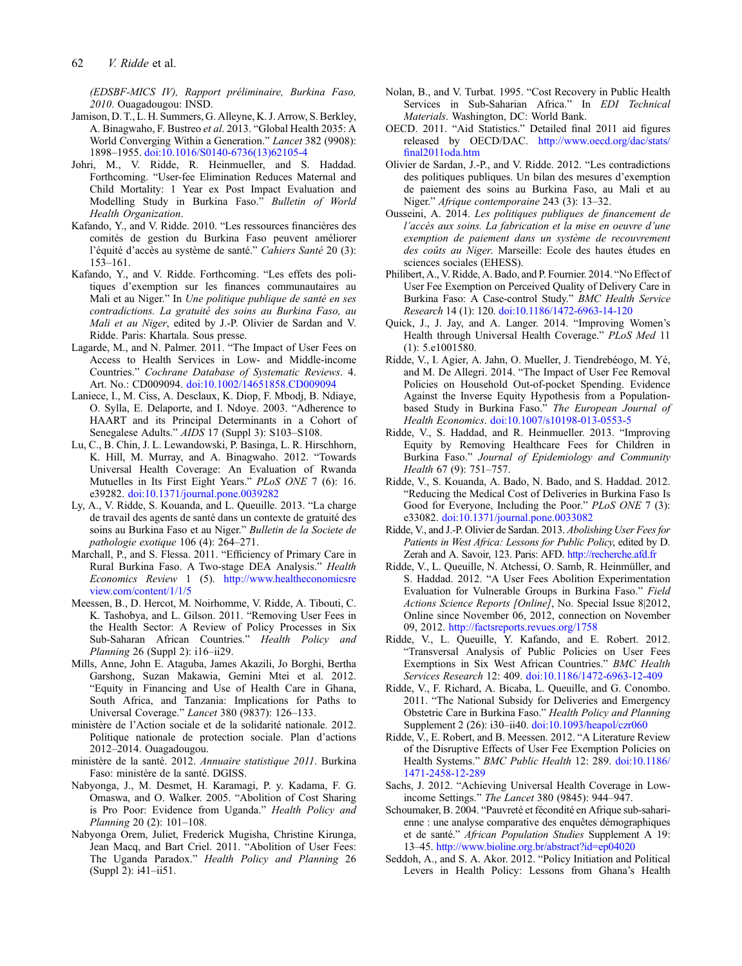<span id="page-8-0"></span>(EDSBF-MICS IV), Rapport préliminaire, Burkina Faso, 2010. Ouagadougou: INSD.

- Jamison, D. T., L. H. Summers, G. Alleyne, K. J. Arrow, S. Berkley, A. Binagwaho, F. Bustreo et al. 2013. "Global Health 2035: A World Converging Within a Generation." Lancet 382 (9908): 1898–1955. [doi:10.1016/S0140-6736\(13\)62105-4](http://dx.doi.org/10.1016/S0140-6736(13)62105-4)
- Johri, M., V. Ridde, R. Heinmueller, and S. Haddad. Forthcoming. "User-fee Elimination Reduces Maternal and Child Mortality: 1 Year ex Post Impact Evaluation and Modelling Study in Burkina Faso." Bulletin of World Health Organization.
- Kafando, Y., and V. Ridde. 2010. "Les ressources financières des comités de gestion du Burkina Faso peuvent améliorer l'équité d'accès au système de santé." Cahiers Santé 20 (3): 153–161.
- Kafando, Y., and V. Ridde. Forthcoming. "Les effets des politiques d'exemption sur les finances communautaires au Mali et au Niger." In Une politique publique de santé en ses contradictions. La gratuité des soins au Burkina Faso, au Mali et au Niger, edited by J.-P. Olivier de Sardan and V. Ridde. Paris: Khartala. Sous presse.
- Lagarde, M., and N. Palmer. 2011. "The Impact of User Fees on Access to Health Services in Low- and Middle-income Countries." Cochrane Database of Systematic Reviews. 4. Art. No.: CD009094. [doi:10.1002/14651858.CD009094](http://dx.doi.org/10.1002/14651858.CD009094)
- Laniece, I., M. Ciss, A. Desclaux, K. Diop, F. Mbodj, B. Ndiaye, O. Sylla, E. Delaporte, and I. Ndoye. 2003. "Adherence to HAART and its Principal Determinants in a Cohort of Senegalese Adults." AIDS 17 (Suppl 3): S103–S108.
- Lu, C., B. Chin, J. L. Lewandowski, P. Basinga, L. R. Hirschhorn, K. Hill, M. Murray, and A. Binagwaho. 2012. "Towards Universal Health Coverage: An Evaluation of Rwanda Mutuelles in Its First Eight Years." PLoS ONE 7 (6): 16. e39282. [doi:10.1371/journal.pone.0039282](http://dx.doi.org/10.1371/journal.pone.0039282)
- Ly, A., V. Ridde, S. Kouanda, and L. Queuille. 2013. "La charge de travail des agents de santé dans un contexte de gratuité des soins au Burkina Faso et au Niger." Bulletin de la Societe de pathologie exotique 106 (4): 264–271.
- Marchall, P., and S. Flessa. 2011. "Efficiency of Primary Care in Rural Burkina Faso. A Two-stage DEA Analysis." Health Economics Review 1 (5). [http://www.healtheconomicsre](http://www.healtheconomicsreview.com/content/1/1/5) [view.com/content/1/1/5](http://www.healtheconomicsreview.com/content/1/1/5)
- Meessen, B., D. Hercot, M. Noirhomme, V. Ridde, A. Tibouti, C. K. Tashobya, and L. Gilson. 2011. "Removing User Fees in the Health Sector: A Review of Policy Processes in Six Sub-Saharan African Countries." Health Policy and Planning 26 (Suppl 2): i16–ii29.
- Mills, Anne, John E. Ataguba, James Akazili, Jo Borghi, Bertha Garshong, Suzan Makawia, Gemini Mtei et al. 2012. "Equity in Financing and Use of Health Care in Ghana, South Africa, and Tanzania: Implications for Paths to Universal Coverage." Lancet 380 (9837): 126–133.
- ministère de l'Action sociale et de la solidarité nationale. 2012. Politique nationale de protection sociale. Plan d'actions 2012–2014. Ouagadougou.
- ministère de la santé. 2012. Annuaire statistique 2011. Burkina Faso: ministère de la santé. DGISS.
- Nabyonga, J., M. Desmet, H. Karamagi, P. y. Kadama, F. G. Omaswa, and O. Walker. 2005. "Abolition of Cost Sharing is Pro Poor: Evidence from Uganda." Health Policy and Planning 20 (2): 101–108.
- Nabyonga Orem, Juliet, Frederick Mugisha, Christine Kirunga, Jean Macq, and Bart Criel. 2011. "Abolition of User Fees: The Uganda Paradox." Health Policy and Planning 26 (Suppl 2): i41–ii51.
- Nolan, B., and V. Turbat. 1995. "Cost Recovery in Public Health Services in Sub-Saharian Africa." In EDI Technical Materials. Washington, DC: World Bank.
- OECD. 2011. "Aid Statistics." Detailed final 2011 aid figures released by OECD/DAC. [http://www.oecd.org/dac/stats/](http://www.oecd.org/dac/stats/final2011oda.htm) fi[nal2011oda.htm](http://www.oecd.org/dac/stats/final2011oda.htm)
- Olivier de Sardan, J.-P., and V. Ridde. 2012. "Les contradictions des politiques publiques. Un bilan des mesures d'exemption de paiement des soins au Burkina Faso, au Mali et au Niger." Afrique contemporaine 243 (3): 13–32.
- Ousseini, A. 2014. Les politiques publiques de financement de l'accès aux soins. La fabrication et la mise en oeuvre d'une exemption de paiement dans un système de recouvrement des coûts au Niger. Marseille: Ecole des hautes études en sciences sociales (EHESS).
- Philibert, A., V. Ridde, A. Bado, and P. Fournier. 2014. "No Effect of User Fee Exemption on Perceived Quality of Delivery Care in Burkina Faso: A Case-control Study." BMC Health Service Research 14 (1): 120. [doi:10.1186/1472-6963-14-120](http://dx.doi.org/10.1186/1472-6963-14-120)
- Quick, J., J. Jay, and A. Langer. 2014. "Improving Women's Health through Universal Health Coverage." PLoS Med 11 (1): 5.e1001580.
- Ridde, V., I. Agier, A. Jahn, O. Mueller, J. Tiendrebéogo, M. Yé, and M. De Allegri. 2014. "The Impact of User Fee Removal Policies on Household Out-of-pocket Spending. Evidence Against the Inverse Equity Hypothesis from a Populationbased Study in Burkina Faso." The European Journal of Health Economics. [doi:10.1007/s10198-013-0553-5](http://dx.doi.org/10.1007/s10198-013-0553-5)
- Ridde, V., S. Haddad, and R. Heinmueller. 2013. "Improving Equity by Removing Healthcare Fees for Children in Burkina Faso." Journal of Epidemiology and Community Health 67 (9): 751–757.
- Ridde, V., S. Kouanda, A. Bado, N. Bado, and S. Haddad. 2012. "Reducing the Medical Cost of Deliveries in Burkina Faso Is Good for Everyone, Including the Poor." PLoS ONE 7 (3): e33082. [doi:10.1371/journal.pone.0033082](http://dx.doi.org/10.1371/journal.pone.0033082)
- Ridde, V., and J.-P. Olivier de Sardan. 2013. Abolishing User Fees for Patients in West Africa: Lessons for Public Policy, edited by D. Zerah and A. Savoir, 123. Paris: AFD. <http://recherche.afd.fr>
- Ridde, V., L. Queuille, N. Atchessi, O. Samb, R. Heinmüller, and S. Haddad. 2012. "A User Fees Abolition Experimentation Evaluation for Vulnerable Groups in Burkina Faso." Field Actions Science Reports [Online], No. Special Issue 8|2012, Online since November 06, 2012, connection on November 09, 2012. <http://factsreports.revues.org/1758>
- Ridde, V., L. Queuille, Y. Kafando, and E. Robert. 2012. "Transversal Analysis of Public Policies on User Fees Exemptions in Six West African Countries." BMC Health Services Research 12: 409. [doi:10.1186/1472-6963-12-409](http://dx.doi.org/10.1186/1472-6963-12-409)
- Ridde, V., F. Richard, A. Bicaba, L. Queuille, and G. Conombo. 2011. "The National Subsidy for Deliveries and Emergency Obstetric Care in Burkina Faso." Health Policy and Planning Supplement 2 (26): i30–ii40. [doi:10.1093/heapol/czr060](http://dx.doi.org/10.1093/heapol/czr060)
- Ridde, V., E. Robert, and B. Meessen. 2012. "A Literature Review of the Disruptive Effects of User Fee Exemption Policies on Health Systems." BMC Public Health 12: 289. [doi:10.1186/](http://dx.doi.org/10.1186/1471-2458-12-289) [1471-2458-12-289](http://dx.doi.org/10.1186/1471-2458-12-289)
- Sachs, J. 2012. "Achieving Universal Health Coverage in Lowincome Settings." The Lancet 380 (9845): 944–947.
- Schoumaker, B. 2004. "Pauvreté et fécondité en Afrique sub-saharienne : une analyse comparative des enquêtes démographiques et de santé." African Population Studies Supplement A 19: 13–45. <http://www.bioline.org.br/abstract?id=ep04020>
- Seddoh, A., and S. A. Akor. 2012. "Policy Initiation and Political Levers in Health Policy: Lessons from Ghana's Health